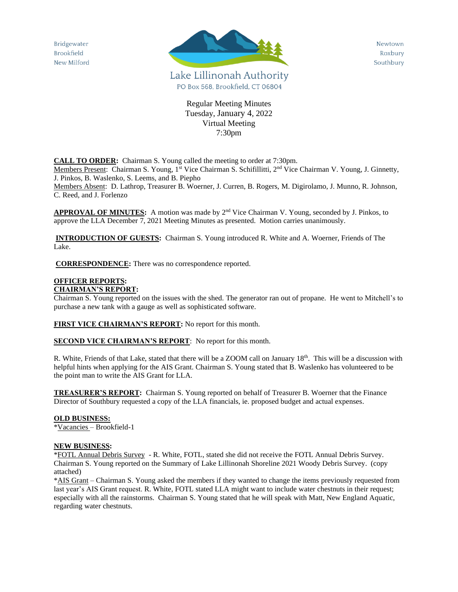Bridgewater Brookfield New Milford



Newtown Roxbury Southbury

Regular Meeting Minutes Tuesday, January 4, 2022 Virtual Meeting 7:30pm

**CALL TO ORDER:** Chairman S. Young called the meeting to order at 7:30pm.

Members Present: Chairman S. Young, 1<sup>st</sup> Vice Chairman S. Schifillitti, 2<sup>nd</sup> Vice Chairman V. Young, J. Ginnetty, J. Pinkos, B. Waslenko, S. Leems, and B. Piepho

Members Absent: D. Lathrop, Treasurer B. Woerner, J. Curren, B. Rogers, M. Digirolamo, J. Munno, R. Johnson, C. Reed, and J. Forlenzo

APPROVAL OF MINUTES: A motion was made by 2<sup>nd</sup> Vice Chairman V. Young, seconded by J. Pinkos, to approve the LLA December 7, 2021 Meeting Minutes as presented. Motion carries unanimously.

**INTRODUCTION OF GUESTS:** Chairman S. Young introduced R. White and A. Woerner, Friends of The Lake.

**CORRESPONDENCE:** There was no correspondence reported.

#### **OFFICER REPORTS: CHAIRMAN'S REPORT:**

Chairman S. Young reported on the issues with the shed. The generator ran out of propane. He went to Mitchell's to purchase a new tank with a gauge as well as sophisticated software.

**FIRST VICE CHAIRMAN'S REPORT:** No report for this month.

**SECOND VICE CHAIRMAN'S REPORT:** No report for this month.

R. White, Friends of that Lake, stated that there will be a ZOOM call on January 18<sup>th</sup>. This will be a discussion with helpful hints when applying for the AIS Grant. Chairman S. Young stated that B. Waslenko has volunteered to be the point man to write the AIS Grant for LLA.

**TREASURER'S REPORT:** Chairman S. Young reported on behalf of Treasurer B. Woerner that the Finance Director of Southbury requested a copy of the LLA financials, ie. proposed budget and actual expenses.

#### **OLD BUSINESS:**

\*Vacancies – Brookfield-1

## **NEW BUSINESS:**

\*FOTL Annual Debris Survey - R. White, FOTL, stated she did not receive the FOTL Annual Debris Survey. Chairman S. Young reported on the Summary of Lake Lillinonah Shoreline 2021 Woody Debris Survey. (copy attached)

\*AIS Grant – Chairman S. Young asked the members if they wanted to change the items previously requested from last year's AIS Grant request. R. White, FOTL stated LLA might want to include water chestnuts in their request; especially with all the rainstorms. Chairman S. Young stated that he will speak with Matt, New England Aquatic, regarding water chestnuts.